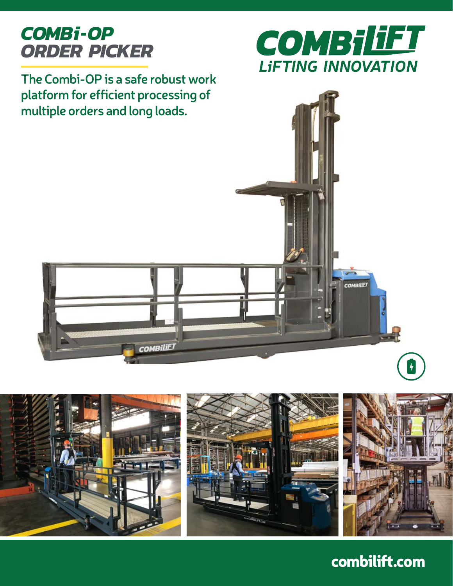# *COMBi-OP ORDER PICKER*

**The Combi-OP is a safe robust work platform for efficient processing of multiple orders and long loads.**







combilift.com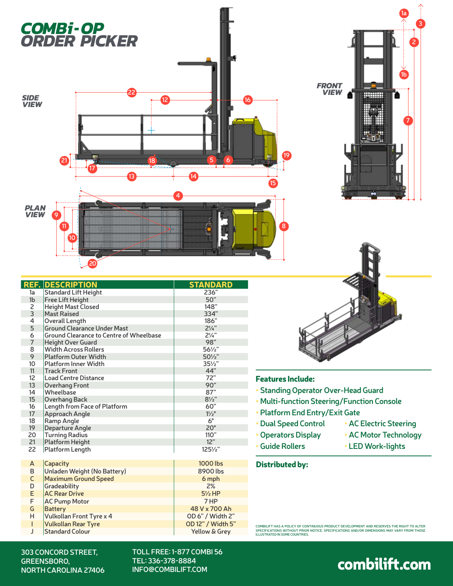



|                 | <b>REF. DESCRIPTION</b>                        | <b>STANDARD</b>     |
|-----------------|------------------------------------------------|---------------------|
| 1a              | <b>Standard Lift Height</b>                    | 236"                |
| 1 <sub>b</sub>  | <b>Free Lift Height</b>                        | 50"                 |
| 2               | <b>Height Mast Closed</b>                      | 148"                |
| 3               | <b>Mast Raised</b>                             | 334"                |
| 4               | <b>Overall Length</b>                          | 186"                |
| 5               | <b>Ground Clearance Under Mast</b>             | $2\frac{1}{4}$      |
| 6               | <b>Ground Clearance to Centre of Wheelbase</b> | $2\frac{1}{4}$      |
| $\overline{7}$  | <b>Height Over Guard</b>                       | 98"                 |
| 8               | <b>Width Across Rollers</b>                    | 561/2"              |
| 9               | <b>Platform Outer Width</b>                    | 501/ <sub>2</sub> " |
| 10              | <b>Platform Inner Width</b>                    | $35\frac{1}{2}$     |
| 11              | <b>Track Front</b>                             | 44"                 |
| 12              | <b>Load Centre Distance</b>                    | 72"                 |
| 13              | <b>Overhang Front</b>                          | 90"                 |
| 14              | Wheelbase                                      | 87"                 |
| 15              | Overhang Back                                  | $8\frac{1}{2}$ "    |
| 16              | Length from Face of Platform                   | 60"                 |
| 17 <sup>2</sup> | <b>Approach Angle</b>                          | $1\frac{1}{2}$ °    |
| 18              | <b>Ramp Angle</b>                              | $6^{\circ}$         |
| 19              | <b>Departure Angle</b>                         | $20^\circ$          |
| 20              | <b>Turning Radius</b>                          | 110"                |
| 21              | <b>Platform Height</b>                         | 12"                 |
| 22              | Platform Length                                | $125\frac{1}{2}$    |
| A               | Capacity                                       | 1000 lbs            |
| B               | Unladen Weight (No Battery)                    | 8900 lbs            |
| $\mathsf{C}$    | <b>Maximum Ground Speed</b>                    | 6 mph               |
| D               | Gradeability                                   | 2%                  |
| E               | <b>AC Rear Drive</b>                           | $5\frac{1}{2}$ HP   |
| F               | <b>AC Pump Motor</b>                           | 7 HP                |
| G               | <b>Battery</b>                                 | 48 V x 700 Ah       |
| H.              | Vulkollan Front Tyre x 4                       | OD 6" / Width 2"    |
| T               | <b>Vulkollan Rear Tyre</b>                     | OD 12" / Width 5"   |
| J               | <b>Standard Colour</b>                         | Yellow & Grey       |



### Features Include:

- **Standing Operator Over-Head Guard**
- **Multi-function Steering/Function Console**
- **Platform End Entry/Exit Gate**
- **Dual Speed Control • AC Electric Steering**
- **Operators Display**
- **Guide Rollers**
- **AC Motor Technology**
- **LED Work-lights**

#### Distributed by:

COMBILIFT HAS A POLICY OF CONTINUOUS PRODUCT DEVELOPMENT AND RESERVES THE RIGHT TO ALTER<br>SPECIFICATIONS WITHOUT PRIOR NOTICE. SPECIFICATIONS AND/OR DIMENSIONS MAY VARY FROM THOSE<br>ILLUSTRATED IN SOME COUNTRIES.

#### **303 CONCORD STREET, GREENSBORO, NORTH CAROLINA 27406**

**TOLL FREE: 1-877 COMBI 56 TEL: 336-378-8884 INFO@COMBILIFT.COM**

combilift.com